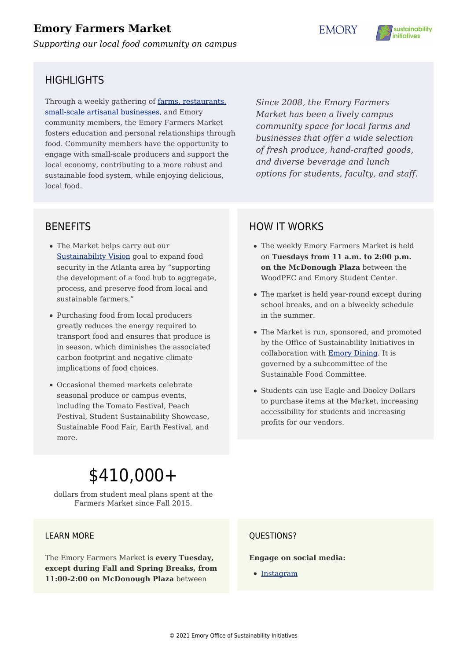## **Emory Farmers Market**

*Supporting our local food community on campus*

**EMORY** 



### HIGHI IGHTS

Through a weekly gathering of [farms, restaurants,](http://www.emory.edu/dining/emory_farmers_market.php) [small-scale artisanal businesses](http://www.emory.edu/dining/emory_farmers_market.php), and Emory community members, the Emory Farmers Market fosters education and personal relationships through food. Community members have the opportunity to engage with small-scale producers and support the local economy, contributing to a more robust and sustainable food system, while enjoying delicious, local food.

*Since 2008, the Emory Farmers Market has been a lively campus community space for local farms and businesses that offer a wide selection of fresh produce, hand-crafted goods, and diverse beverage and lunch options for students, faculty, and staff.*

### BENEFITS

- The Market helps carry out our [Sustainability Vision](https://sustainability.emory.edu/wp-content/uploads/2018/01/VisionReport_5-5-16.pdf) goal to expand food security in the Atlanta area by "supporting the development of a food hub to aggregate, process, and preserve food from local and sustainable farmers."
- Purchasing food from local producers greatly reduces the energy required to transport food and ensures that produce is in season, which diminishes the associated carbon footprint and negative climate implications of food choices.
- Occasional themed markets celebrate seasonal produce or campus events, including the Tomato Festival, Peach Festival, Student Sustainability Showcase, Sustainable Food Fair, Earth Festival, and more.

## HOW IT WORKS

- The weekly Emory Farmers Market is held on **Tuesdays from 11 a.m. to 2:00 p.m. on the McDonough Plaza** between the WoodPEC and Emory Student Center.
- The market is held year-round except during school breaks, and on a biweekly schedule in the summer.
- The Market is run, sponsored, and promoted by the Office of Sustainability Initiatives in collaboration with [Emory Dining.](http://www.emory.edu/dining/index.php) It is governed by a subcommittee of the Sustainable Food Committee.
- Students can use Eagle and Dooley Dollars to purchase items at the Market, increasing accessibility for students and increasing profits for our vendors.

# \$410,000+

dollars from student meal plans spent at the Farmers Market since Fall 2015.

#### LEARN MORE

The Emory Farmers Market is **every Tuesday, except during Fall and Spring Breaks, from 11:00-2:00 on McDonough Plaza** between

#### QUESTIONS?

**Engage on social media:**

• [Instagram](https://www.instagram.com/emoryfarmersmkt/)